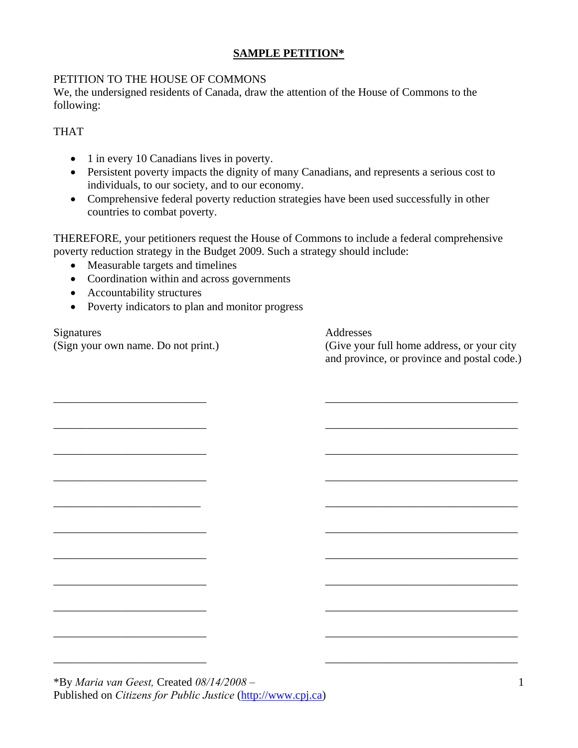## **SAMPLE PETITION\***

## PETITION TO THE HOUSE OF COMMONS

We, the undersigned residents of Canada, draw the attention of the House of Commons to the following:

## THAT

- 1 in every 10 Canadians lives in poverty.
- Persistent poverty impacts the dignity of many Canadians, and represents a serious cost to individuals, to our society, and to our economy.
- Comprehensive federal poverty reduction strategies have been used successfully in other countries to combat poverty.

THEREFORE, your petitioners request the House of Commons to include a federal comprehensive poverty reduction strategy in the Budget 2009. Such a strategy should include:

\_\_\_\_\_\_\_\_\_\_\_\_\_\_\_\_\_\_\_\_\_\_\_\_\_\_\_ \_\_\_\_\_\_\_\_\_\_\_\_\_\_\_\_\_\_\_\_\_\_\_\_\_\_\_\_\_\_\_\_\_\_

\_\_\_\_\_\_\_\_\_\_\_\_\_\_\_\_\_\_\_\_\_\_\_\_\_\_\_ \_\_\_\_\_\_\_\_\_\_\_\_\_\_\_\_\_\_\_\_\_\_\_\_\_\_\_\_\_\_\_\_\_\_

\_\_\_\_\_\_\_\_\_\_\_\_\_\_\_\_\_\_\_\_\_\_\_\_\_\_\_ \_\_\_\_\_\_\_\_\_\_\_\_\_\_\_\_\_\_\_\_\_\_\_\_\_\_\_\_\_\_\_\_\_\_

\_\_\_\_\_\_\_\_\_\_\_\_\_\_\_\_\_\_\_\_\_\_\_\_\_\_\_ \_\_\_\_\_\_\_\_\_\_\_\_\_\_\_\_\_\_\_\_\_\_\_\_\_\_\_\_\_\_\_\_\_\_

 $\overline{\phantom{a}}$  , and the contract of the contract of the contract of the contract of the contract of the contract of the contract of the contract of the contract of the contract of the contract of the contract of the contrac

\_\_\_\_\_\_\_\_\_\_\_\_\_\_\_\_\_\_\_\_\_\_\_\_\_\_\_ \_\_\_\_\_\_\_\_\_\_\_\_\_\_\_\_\_\_\_\_\_\_\_\_\_\_\_\_\_\_\_\_\_\_

\_\_\_\_\_\_\_\_\_\_\_\_\_\_\_\_\_\_\_\_\_\_\_\_\_\_\_ \_\_\_\_\_\_\_\_\_\_\_\_\_\_\_\_\_\_\_\_\_\_\_\_\_\_\_\_\_\_\_\_\_\_

\_\_\_\_\_\_\_\_\_\_\_\_\_\_\_\_\_\_\_\_\_\_\_\_\_\_\_ \_\_\_\_\_\_\_\_\_\_\_\_\_\_\_\_\_\_\_\_\_\_\_\_\_\_\_\_\_\_\_\_\_\_

\_\_\_\_\_\_\_\_\_\_\_\_\_\_\_\_\_\_\_\_\_\_\_\_\_\_\_ \_\_\_\_\_\_\_\_\_\_\_\_\_\_\_\_\_\_\_\_\_\_\_\_\_\_\_\_\_\_\_\_\_\_

\_\_\_\_\_\_\_\_\_\_\_\_\_\_\_\_\_\_\_\_\_\_\_\_\_\_\_ \_\_\_\_\_\_\_\_\_\_\_\_\_\_\_\_\_\_\_\_\_\_\_\_\_\_\_\_\_\_\_\_\_\_

\_\_\_\_\_\_\_\_\_\_\_\_\_\_\_\_\_\_\_\_\_\_\_\_\_\_\_ \_\_\_\_\_\_\_\_\_\_\_\_\_\_\_\_\_\_\_\_\_\_\_\_\_\_\_\_\_\_\_\_\_\_

- Measurable targets and timelines
- Coordination within and across governments
- Accountability structures
- Poverty indicators to plan and monitor progress

Signatures Addresses

(Sign your own name. Do not print.) (Give your full home address, or your city and province, or province and postal code.)

\*By *Maria van Geest,* Created *08/14/2008 –* Published on *Citizens for Public Justice* (http://www.cpj.ca)